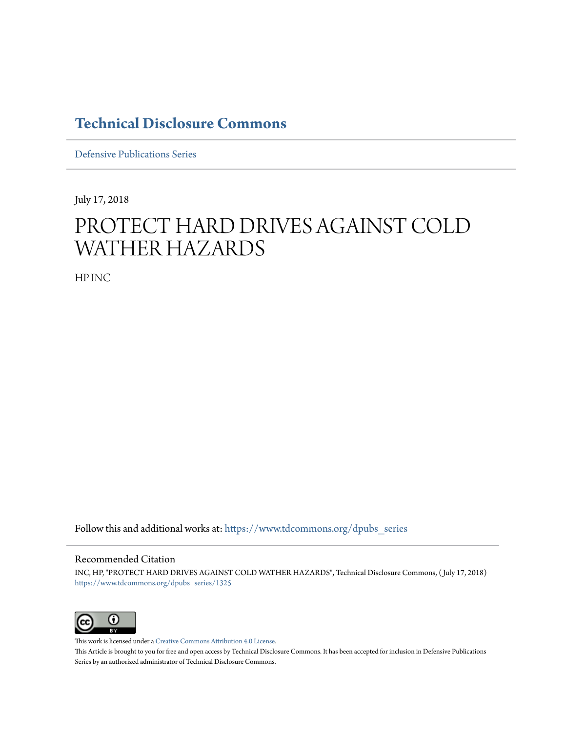## **[Technical Disclosure Commons](https://www.tdcommons.org?utm_source=www.tdcommons.org%2Fdpubs_series%2F1325&utm_medium=PDF&utm_campaign=PDFCoverPages)**

[Defensive Publications Series](https://www.tdcommons.org/dpubs_series?utm_source=www.tdcommons.org%2Fdpubs_series%2F1325&utm_medium=PDF&utm_campaign=PDFCoverPages)

July 17, 2018

## PROTECT HARD DRIVES AGAINST COLD WATHER HAZARDS

HP INC

Follow this and additional works at: [https://www.tdcommons.org/dpubs\\_series](https://www.tdcommons.org/dpubs_series?utm_source=www.tdcommons.org%2Fdpubs_series%2F1325&utm_medium=PDF&utm_campaign=PDFCoverPages)

## Recommended Citation

INC, HP, "PROTECT HARD DRIVES AGAINST COLD WATHER HAZARDS", Technical Disclosure Commons, ( July 17, 2018) [https://www.tdcommons.org/dpubs\\_series/1325](https://www.tdcommons.org/dpubs_series/1325?utm_source=www.tdcommons.org%2Fdpubs_series%2F1325&utm_medium=PDF&utm_campaign=PDFCoverPages)



This work is licensed under a [Creative Commons Attribution 4.0 License.](http://creativecommons.org/licenses/by/4.0/deed.en_US) This Article is brought to you for free and open access by Technical Disclosure Commons. It has been accepted for inclusion in Defensive Publications Series by an authorized administrator of Technical Disclosure Commons.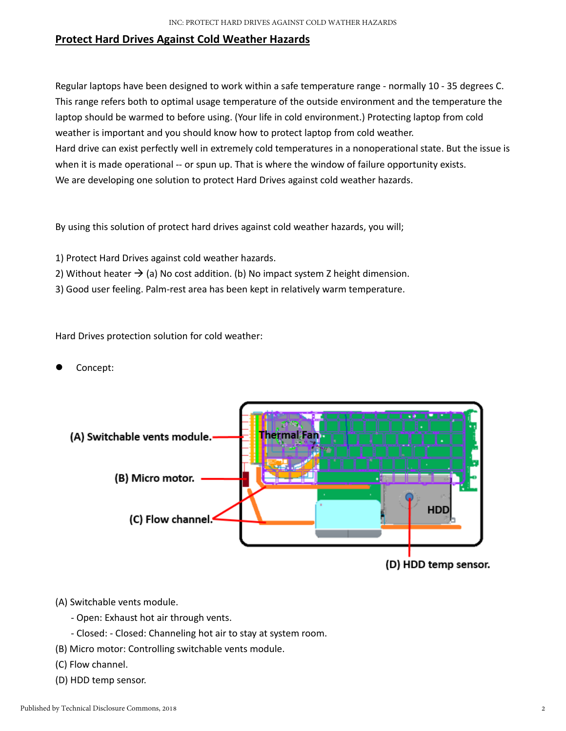## **Protect Hard Drives Against Cold Weather Hazards**

Regular laptops have been designed to work within a safe temperature range - normally 10 - 35 degrees C. This range refers both to optimal usage temperature of the outside environment and the temperature the laptop should be warmed to before using. (Your life in cold environment.) Protecting laptop from cold weather is important and you should know how to protect laptop from cold weather. Hard drive can exist perfectly well in extremely cold temperatures in a nonoperational state. But the issue is when it is made operational -- or spun up. That is where the window of failure opportunity exists. We are developing one solution to protect Hard Drives against cold weather hazards.

By using this solution of protect hard drives against cold weather hazards, you will;

- 1) Protect Hard Drives against cold weather hazards.
- 2) Without heater  $\rightarrow$  (a) No cost addition. (b) No impact system Z height dimension.
- 3) Good user feeling. Palm‐rest area has been kept in relatively warm temperature.

Hard Drives protection solution for cold weather:

Concept:



- (A) Switchable vents module.
	- ‐ Open: Exhaust hot air through vents.
	- ‐ Closed: ‐ Closed: Channeling hot air to stay at system room.
- (B) Micro motor: Controlling switchable vents module.
- (C) Flow channel.
- (D) HDD temp sensor.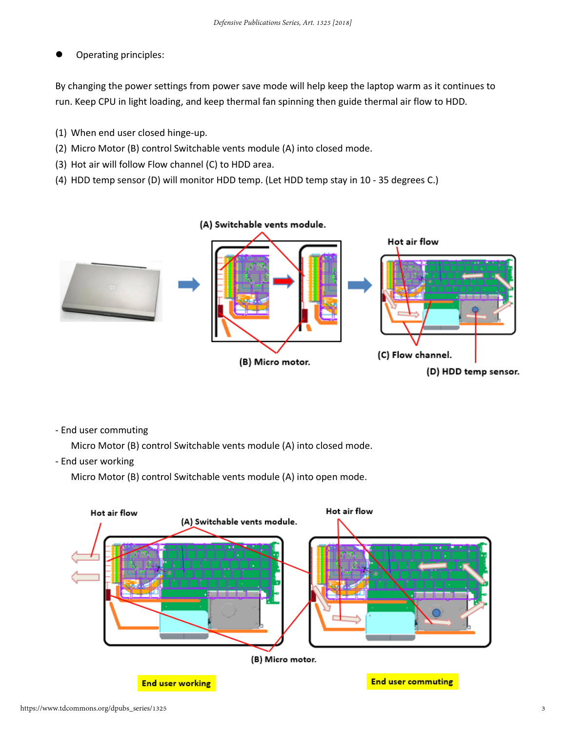Operating principles:

By changing the power settings from power save mode will help keep the laptop warm as it continues to run. Keep CPU in light loading, and keep thermal fan spinning then guide thermal air flow to HDD.

- (1) When end user closed hinge‐up.
- (2) Micro Motor (B) control Switchable vents module (A) into closed mode.
- (3) Hot air will follow Flow channel (C) to HDD area.
- (4) HDD temp sensor (D) will monitor HDD temp. (Let HDD temp stay in 10 ‐ 35 degrees C.)



‐ End user commuting

Micro Motor (B) control Switchable vents module (A) into closed mode.

‐ End user working

Micro Motor (B) control Switchable vents module (A) into open mode.